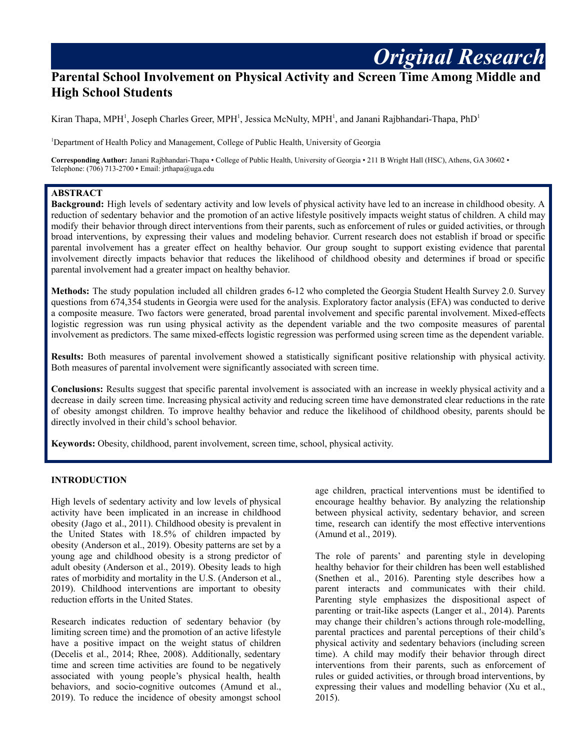# **Parental School Involvement on Physical Activity and Screen Time Among Middle and High School Students**

Kiran Thapa, MPH<sup>1</sup>, Joseph Charles Greer, MPH<sup>1</sup>, Jessica McNulty, MPH<sup>1</sup>, and Janani Rajbhandari-Thapa, PhD<sup>1</sup>

<sup>1</sup>Department of Health Policy and Management, College of Public Health, University of Georgia

**Corresponding Author:** Janani Rajbhandari-Thapa • College of Public Health, University of Georgia • 211 B Wright Hall (HSC), Athens, GA 30602 • Telephone: (706) 713-2700 • Email: jrthapa@uga.edu

### **ABSTRACT**

**Background:** High levels of sedentary activity and low levels of physical activity have led to an increase in childhood obesity. A reduction of sedentary behavior and the promotion of an active lifestyle positively impacts weight status of children. A child may modify their behavior through direct interventions from their parents, such as enforcement of rules or guided activities, or through broad interventions, by expressing their values and modeling behavior. Current research does not establish if broad or specific parental involvement has a greater effect on healthy behavior. Our group sought to support existing evidence that parental involvement directly impacts behavior that reduces the likelihood of childhood obesity and determines if broad or specific parental involvement had a greater impact on healthy behavior.

**Methods:** The study population included all children grades 6-12 who completed the Georgia Student Health Survey 2.0. Survey questions from 674,354 students in Georgia were used for the analysis. Exploratory factor analysis (EFA) was conducted to derive a composite measure. Two factors were generated, broad parental involvement and specific parental involvement. Mixed-effects logistic regression was run using physical activity as the dependent variable and the two composite measures of parental involvement as predictors. The same mixed-effects logistic regression was performed using screen time as the dependent variable.

**Results:** Both measures of parental involvement showed a statistically significant positive relationship with physical activity. Both measures of parental involvement were significantly associated with screen time.

**Conclusions:** Results suggest that specific parental involvement is associated with an increase in weekly physical activity and a decrease in daily screen time. Increasing physical activity and reducing screen time have demonstrated clear reductions in the rate of obesity amongst children. To improve healthy behavior and reduce the likelihood of childhood obesity, parents should be directly involved in their child's school behavior.

**Keywords:** Obesity, childhood, parent involvement, screen time, school, physical activity.

## **INTRODUCTION**

High levels of sedentary activity and low levels of physical activity have been implicated in an increase in childhood obesity (Jago et al., 2011). Childhood obesity is prevalent in the United States with 18.5% of children impacted by obesity (Anderson et al., 2019). Obesity patterns are set by a young age and childhood obesity is a strong predictor of adult obesity (Anderson et al., 2019). Obesity leads to high rates of morbidity and mortality in the U.S. (Anderson et al., 2019). Childhood interventions are important to obesity reduction efforts in the United States.

Research indicates reduction of sedentary behavior (by limiting screen time) and the promotion of an active lifestyle have a positive impact on the weight status of children (Decelis et al., 2014; Rhee, 2008). Additionally, sedentary time and screen time activities are found to be negatively associated with young people's physical health, health behaviors, and socio-cognitive outcomes (Amund et al., 2019). To reduce the incidence of obesity amongst school

age children, practical interventions must be identified to encourage healthy behavior. By analyzing the relationship between physical activity, sedentary behavior, and screen time, research can identify the most effective interventions (Amund et al., 2019).

*Original Research*

The role of parents' and parenting style in developing healthy behavior for their children has been well established (Snethen et al., 2016). Parenting style describes how a parent interacts and communicates with their child. Parenting style emphasizes the dispositional aspect of parenting or trait-like aspects (Langer et al., 2014). Parents may change their children's actions through role-modelling, parental practices and parental perceptions of their child's physical activity and sedentary behaviors (including screen time). A child may modify their behavior through direct interventions from their parents, such as enforcement of rules or guided activities, or through broad interventions, by expressing their values and modelling behavior (Xu et al., 2015).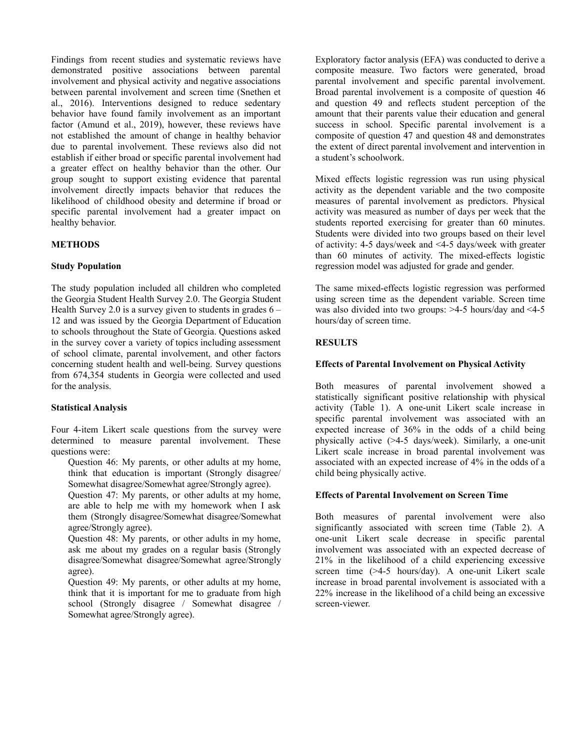Findings from recent studies and systematic reviews have demonstrated positive associations between parental involvement and physical activity and negative associations between parental involvement and screen time (Snethen et al., 2016). Interventions designed to reduce sedentary behavior have found family involvement as an important factor (Amund et al., 2019), however, these reviews have not established the amount of change in healthy behavior due to parental involvement. These reviews also did not establish if either broad or specific parental involvement had a greater effect on healthy behavior than the other. Our group sought to support existing evidence that parental involvement directly impacts behavior that reduces the likelihood of childhood obesity and determine if broad or specific parental involvement had a greater impact on healthy behavior.

## **METHODS**

#### **Study Population**

The study population included all children who completed the Georgia Student Health Survey 2.0. The Georgia Student Health Survey 2.0 is a survey given to students in grades  $6 -$ 12 and was issued by the Georgia Department of Education to schools throughout the State of Georgia. Questions asked in the survey cover a variety of topics including assessment of school climate, parental involvement, and other factors concerning student health and well-being. Survey questions from 674,354 students in Georgia were collected and used for the analysis.

#### **Statistical Analysis**

Four 4-item Likert scale questions from the survey were determined to measure parental involvement. These questions were:

Question 46: My parents, or other adults at my home, think that education is important (Strongly disagree/ Somewhat disagree/Somewhat agree/Strongly agree).

Question 47: My parents, or other adults at my home, are able to help me with my homework when I ask them (Strongly disagree/Somewhat disagree/Somewhat agree/Strongly agree).

Question 48: My parents, or other adults in my home, ask me about my grades on a regular basis (Strongly disagree/Somewhat disagree/Somewhat agree/Strongly agree).

Question 49: My parents, or other adults at my home, think that it is important for me to graduate from high school (Strongly disagree / Somewhat disagree / Somewhat agree/Strongly agree).

Exploratory factor analysis (EFA) was conducted to derive a composite measure. Two factors were generated, broad parental involvement and specific parental involvement. Broad parental involvement is a composite of question 46 and question 49 and reflects student perception of the amount that their parents value their education and general success in school. Specific parental involvement is a composite of question 47 and question 48 and demonstrates the extent of direct parental involvement and intervention in a student's schoolwork.

Mixed effects logistic regression was run using physical activity as the dependent variable and the two composite measures of parental involvement as predictors. Physical activity was measured as number of days per week that the students reported exercising for greater than 60 minutes. Students were divided into two groups based on their level of activity: 4-5 days/week and <4-5 days/week with greater than 60 minutes of activity. The mixed-effects logistic regression model was adjusted for grade and gender.

The same mixed-effects logistic regression was performed using screen time as the dependent variable. Screen time was also divided into two groups: >4-5 hours/day and <4-5 hours/day of screen time.

### **RESULTS**

## **Effects of Parental Involvement on Physical Activity**

Both measures of parental involvement showed a statistically significant positive relationship with physical activity (Table 1). A one-unit Likert scale increase in specific parental involvement was associated with an expected increase of 36% in the odds of a child being physically active (>4-5 days/week). Similarly, a one-unit Likert scale increase in broad parental involvement was associated with an expected increase of 4% in the odds of a child being physically active.

#### **Effects of Parental Involvement on Screen Time**

Both measures of parental involvement were also significantly associated with screen time (Table 2). A one-unit Likert scale decrease in specific parental involvement was associated with an expected decrease of 21% in the likelihood of a child experiencing excessive screen time (>4-5 hours/day). A one-unit Likert scale increase in broad parental involvement is associated with a 22% increase in the likelihood of a child being an excessive screen-viewer.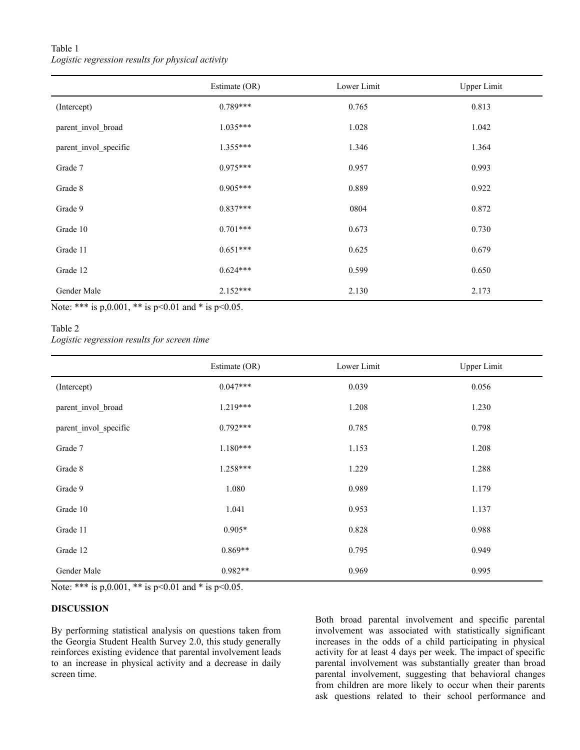# Table 1 *Logistic regression results for physical activity*

|                       | Estimate (OR) | Lower Limit | <b>Upper Limit</b> |
|-----------------------|---------------|-------------|--------------------|
| (Intercept)           | $0.789***$    | 0.765       | 0.813              |
| parent invol broad    | $1.035***$    | 1.028       | 1.042              |
| parent_invol_specific | $1.355***$    | 1.346       | 1.364              |
| Grade 7               | $0.975***$    | 0.957       | 0.993              |
| Grade 8               | $0.905***$    | 0.889       | 0.922              |
| Grade 9               | $0.837***$    | 0804        | 0.872              |
| Grade 10              | $0.701***$    | 0.673       | 0.730              |
| Grade 11              | $0.651***$    | 0.625       | 0.679              |
| Grade 12              | $0.624***$    | 0.599       | 0.650              |
| Gender Male           | $2.152***$    | 2.130       | 2.173              |

Note: \*\*\* is p,0.001, \*\* is p<0.01 and \* is p<0.05.

# Table 2

*Logistic regression results for screen time*

|                       | Estimate (OR) | Lower Limit | <b>Upper Limit</b> |
|-----------------------|---------------|-------------|--------------------|
| (Intercept)           | $0.047***$    | 0.039       | 0.056              |
| parent_invol_broad    | $1.219***$    | 1.208       | 1.230              |
| parent_invol_specific | $0.792***$    | 0.785       | 0.798              |
| Grade 7               | $1.180***$    | 1.153       | 1.208              |
| Grade 8               | $1.258***$    | 1.229       | 1.288              |
| Grade 9               | 1.080         | 0.989       | 1.179              |
| Grade 10              | 1.041         | 0.953       | 1.137              |
| Grade 11              | $0.905*$      | 0.828       | 0.988              |
| Grade 12              | $0.869**$     | 0.795       | 0.949              |
| Gender Male           | $0.982**$     | 0.969       | 0.995              |

Note: \*\*\* is p,0.001, \*\* is p<0.01 and \* is p<0.05.

# **DISCUSSION**

By performing statistical analysis on questions taken from the Georgia Student Health Survey 2.0, this study generally reinforces existing evidence that parental involvement leads to an increase in physical activity and a decrease in daily screen time.

Both broad parental involvement and specific parental involvement was associated with statistically significant increases in the odds of a child participating in physical activity for at least 4 days per week. The impact of specific parental involvement was substantially greater than broad parental involvement, suggesting that behavioral changes from children are more likely to occur when their parents ask questions related to their school performance and